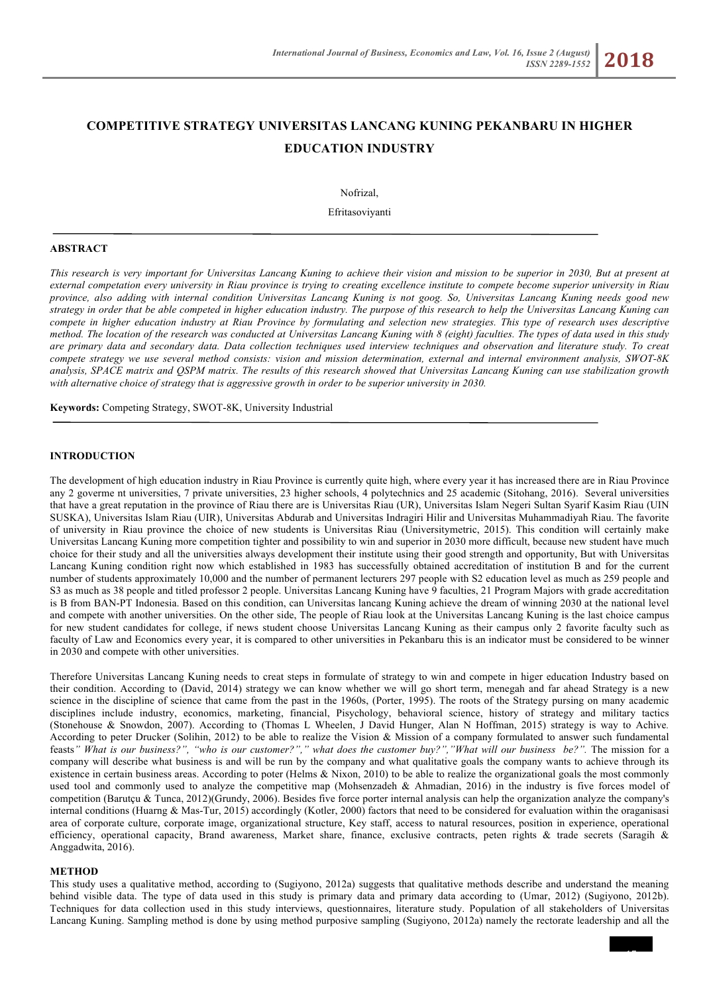# **COMPETITIVE STRATEGY UNIVERSITAS LANCANG KUNING PEKANBARU IN HIGHER EDUCATION INDUSTRY**

Nofrizal,

Efritasoviyanti

#### **ABSTRACT**

*This research is very important for Universitas Lancang Kuning to achieve their vision and mission to be superior in 2030, But at present at external competation every university in Riau province is trying to creating excellence institute to compete become superior university in Riau province, also adding with internal condition Universitas Lancang Kuning is not goog. So, Universitas Lancang Kuning needs good new strategy in order that be able competed in higher education industry. The purpose of this research to help the Universitas Lancang Kuning can compete in higher education industry at Riau Province by formulating and selection new strategies. This type of research uses descriptive method. The location of the research was conducted at Universitas Lancang Kuning with 8 (eight) faculties. The types of data used in this study are primary data and secondary data. Data collection techniques used interview techniques and observation and literature study. To creat compete strategy we use several method consists: vision and mission determination, external and internal environment analysis, SWOT-8K analysis, SPACE matrix and QSPM matrix. The results of this research showed that Universitas Lancang Kuning can use stabilization growth with alternative choice of strategy that is aggressive growth in order to be superior university in 2030.* 

**Keywords:** Competing Strategy, SWOT-8K, University Industrial

#### **INTRODUCTION**

The development of high education industry in Riau Province is currently quite high, where every year it has increased there are in Riau Province any 2 goverme nt universities, 7 private universities, 23 higher schools, 4 polytechnics and 25 academic (Sitohang, 2016). Several universities that have a great reputation in the province of Riau there are is Universitas Riau (UR), Universitas Islam Negeri Sultan Syarif Kasim Riau (UIN SUSKA), Universitas Islam Riau (UIR), Universitas Abdurab and Universitas Indragiri Hilir and Universitas Muhammadiyah Riau. The favorite of university in Riau province the choice of new students is Universitas Riau (Universitymetric, 2015). This condition will certainly make Universitas Lancang Kuning more competition tighter and possibility to win and superior in 2030 more difficult, because new student have much choice for their study and all the universities always development their institute using their good strength and opportunity, But with Universitas Lancang Kuning condition right now which established in 1983 has successfully obtained accreditation of institution B and for the current number of students approximately 10,000 and the number of permanent lecturers 297 people with S2 education level as much as 259 people and S3 as much as 38 people and titled professor 2 people. Universitas Lancang Kuning have 9 faculties, 21 Program Majors with grade accreditation is B from BAN-PT Indonesia. Based on this condition, can Universitas lancang Kuning achieve the dream of winning 2030 at the national level and compete with another universities. On the other side, The people of Riau look at the Universitas Lancang Kuning is the last choice campus for new student candidates for college, if news student choose Universitas Lancang Kuning as their campus only 2 favorite faculty such as faculty of Law and Economics every year, it is compared to other universities in Pekanbaru this is an indicator must be considered to be winner in 2030 and compete with other universities.

Therefore Universitas Lancang Kuning needs to creat steps in formulate of strategy to win and compete in higer education Industry based on their condition. According to (David, 2014) strategy we can know whether we will go short term, menegah and far ahead Strategy is a new science in the discipline of science that came from the past in the 1960s, (Porter, 1995). The roots of the Strategy pursing on many academic disciplines include industry, economics, marketing, financial, Pisychology, behavioral science, history of strategy and military tactics (Stonehouse & Snowdon, 2007). According to (Thomas L Wheelen, J David Hunger, Alan N Hoffman, 2015) strategy is way to Achive*.* According to peter Drucker (Solihin, 2012) to be able to realize the Vision & Mission of a company formulated to answer such fundamental feasts" What is our business?", "who is our customer?"," what does the customer buy?","What will our business be?". The mission for a company will describe what business is and will be run by the company and what qualitative goals the company wants to achieve through its existence in certain business areas. According to poter (Helms & Nixon, 2010) to be able to realize the organizational goals the most commonly used tool and commonly used to analyze the competitive map (Mohsenzadeh & Ahmadian, 2016) in the industry is five forces model of competition (Barutçu & Tunca, 2012)(Grundy, 2006). Besides five force porter internal analysis can help the organization analyze the company's internal conditions (Huarng & Mas-Tur, 2015) accordingly (Kotler, 2000) factors that need to be considered for evaluation within the oraganisasi area of corporate culture, corporate image, organizational structure, Key staff, access to natural resources, position in experience, operational efficiency, operational capacity, Brand awareness, Market share, finance, exclusive contracts, peten rights & trade secrets (Saragih & Anggadwita, 2016).

#### **METHOD**

This study uses a qualitative method, according to (Sugiyono, 2012a) suggests that qualitative methods describe and understand the meaning behind visible data. The type of data used in this study is primary data and primary data according to (Umar, 2012) (Sugiyono, 2012b). Techniques for data collection used in this study interviews, questionnaires, literature study. Population of all stakeholders of Universitas Lancang Kuning. Sampling method is done by using method purposive sampling (Sugiyono, 2012a) namely the rectorate leadership and all the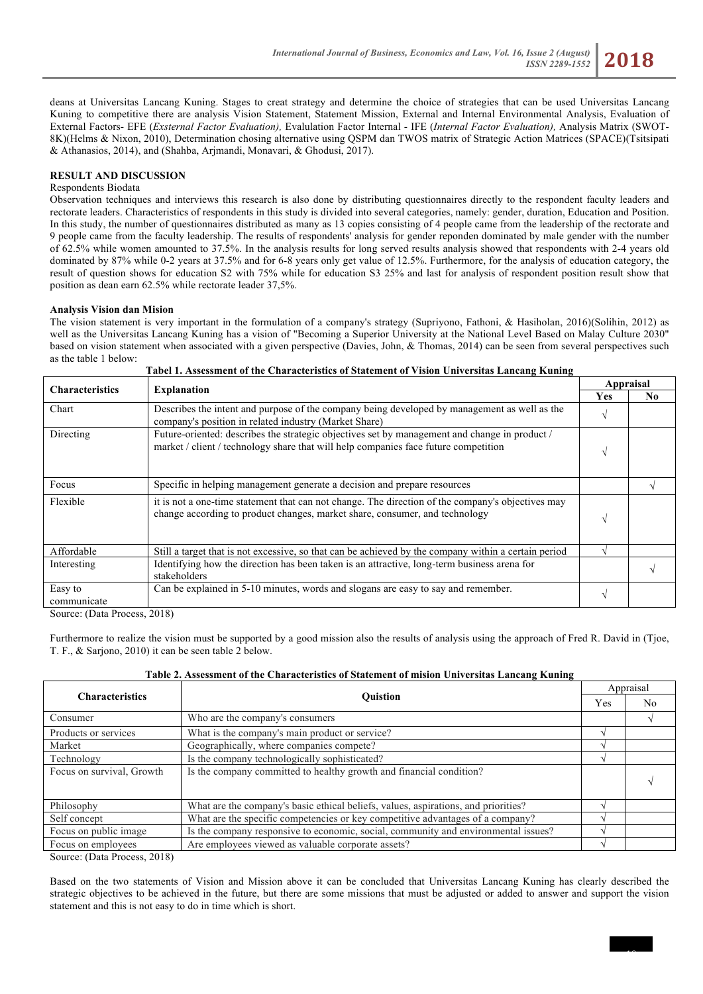deans at Universitas Lancang Kuning. Stages to creat strategy and determine the choice of strategies that can be used Universitas Lancang Kuning to competitive there are analysis Vision Statement, Statement Mission, External and Internal Environmental Analysis, Evaluation of External Factors- EFE (*Exsternal Factor Evaluation),* Evalulation Factor Internal - IFE (*Internal Factor Evaluation),* Analysis Matrix (SWOT-8K)(Helms & Nixon, 2010), Determination chosing alternative using QSPM dan TWOS matrix of Strategic Action Matrices (SPACE)(Tsitsipati & Athanasios, 2014), and (Shahba, Arjmandi, Monavari, & Ghodusi, 2017).

#### **RESULT AND DISCUSSION**

#### Respondents Biodata

Observation techniques and interviews this research is also done by distributing questionnaires directly to the respondent faculty leaders and rectorate leaders. Characteristics of respondents in this study is divided into several categories, namely: gender, duration, Education and Position. In this study, the number of questionnaires distributed as many as 13 copies consisting of 4 people came from the leadership of the rectorate and 9 people came from the faculty leadership. The results of respondents' analysis for gender reponden dominated by male gender with the number of 62.5% while women amounted to 37.5%. In the analysis results for long served results analysis showed that respondents with 2-4 years old dominated by 87% while 0-2 years at 37.5% and for 6-8 years only get value of 12.5%. Furthermore, for the analysis of education category, the result of question shows for education S2 with 75% while for education S3 25% and last for analysis of respondent position result show that position as dean earn 62.5% while rectorate leader 37,5%.

#### **Analysis Vision dan Mision**

The vision statement is very important in the formulation of a company's strategy (Supriyono, Fathoni, & Hasiholan, 2016)(Solihin, 2012) as well as the Universitas Lancang Kuning has a vision of "Becoming a Superior University at the National Level Based on Malay Culture 2030" based on vision statement when associated with a given perspective (Davies, John, & Thomas, 2014) can be seen from several perspectives such as the table 1 below: **Tabel 1. Assessment of the Characteristics of Statement of Vision Universitas Lancang Kuning**

| <b>Characteristics</b> | <b>Explanation</b>                                                                                                                                                                   |   | Appraisal |  |
|------------------------|--------------------------------------------------------------------------------------------------------------------------------------------------------------------------------------|---|-----------|--|
|                        |                                                                                                                                                                                      |   | No.       |  |
| Chart                  | Describes the intent and purpose of the company being developed by management as well as the<br>company's position in related industry (Market Share)                                |   |           |  |
| Directing              | Future-oriented: describes the strategic objectives set by management and change in product /<br>market / client / technology share that will help companies face future competition | N |           |  |
| Focus                  | Specific in helping management generate a decision and prepare resources                                                                                                             |   |           |  |
| Flexible               | it is not a one-time statement that can not change. The direction of the company's objectives may<br>change according to product changes, market share, consumer, and technology     | V |           |  |
| Affordable             | Still a target that is not excessive, so that can be achieved by the company within a certain period                                                                                 |   |           |  |
| Interesting            | Identifying how the direction has been taken is an attractive, long-term business arena for<br>stakeholders                                                                          |   |           |  |
| Easy to<br>communicate | Can be explained in 5-10 minutes, words and slogans are easy to say and remember.                                                                                                    |   |           |  |

Source: (Data Process, 2018)

Furthermore to realize the vision must be supported by a good mission also the results of analysis using the approach of Fred R. David in (Tjoe, T. F., & Sarjono, 2010) it can be seen table 2 below.

### **Table 2. Assessment of the Characteristics of Statement of mision Universitas Lancang Kuning**

|                           | <b>Ouistion</b>                                                                    |  | Appraisal |  |
|---------------------------|------------------------------------------------------------------------------------|--|-----------|--|
| <b>Characteristics</b>    |                                                                                    |  | No        |  |
| Consumer                  | Who are the company's consumers                                                    |  |           |  |
| Products or services      | What is the company's main product or service?                                     |  |           |  |
| Market                    | Geographically, where companies compete?                                           |  |           |  |
| Technology                | Is the company technologically sophisticated?                                      |  |           |  |
| Focus on survival, Growth | Is the company committed to healthy growth and financial condition?                |  |           |  |
| Philosophy                | What are the company's basic ethical beliefs, values, aspirations, and priorities? |  |           |  |
| Self concept              | What are the specific competencies or key competitive advantages of a company?     |  |           |  |
| Focus on public image     | Is the company responsive to economic, social, community and environmental issues? |  |           |  |
| Focus on employees        | Are employees viewed as valuable corporate assets?                                 |  |           |  |

Source: (Data Process, 2018)

Based on the two statements of Vision and Mission above it can be concluded that Universitas Lancang Kuning has clearly described the strategic objectives to be achieved in the future, but there are some missions that must be adjusted or added to answer and support the vision statement and this is not easy to do in time which is short.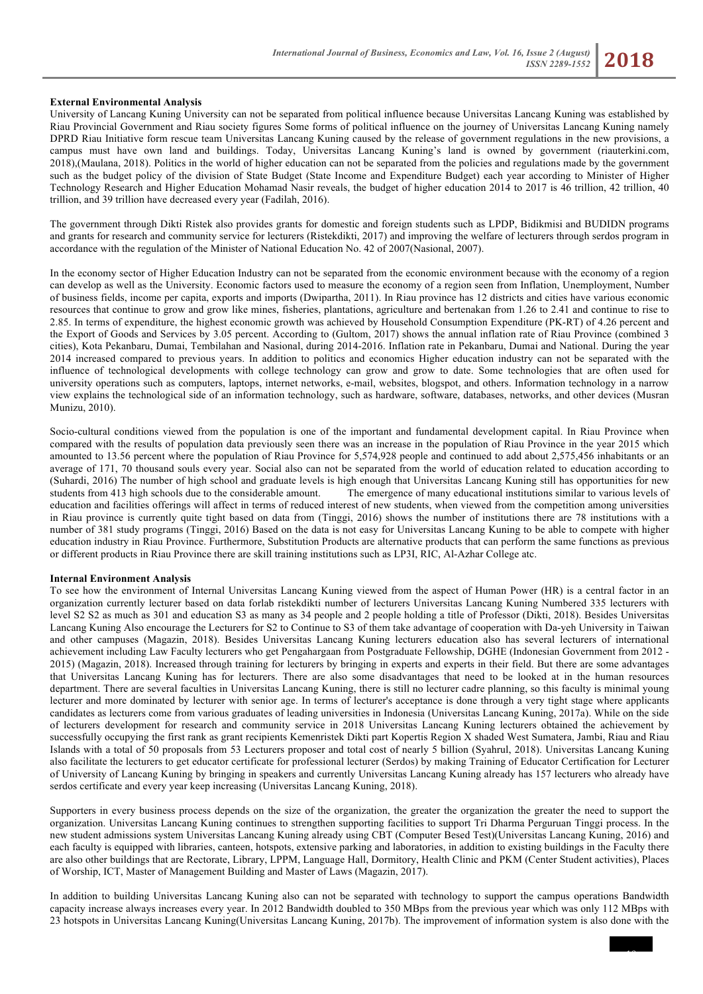#### **External Environmental Analysis**

University of Lancang Kuning University can not be separated from political influence because Universitas Lancang Kuning was established by Riau Provincial Government and Riau society figures Some forms of political influence on the journey of Universitas Lancang Kuning namely DPRD Riau Initiative form rescue team Universitas Lancang Kuning caused by the release of government regulations in the new provisions, a campus must have own land and buildings. Today, Universitas Lancang Kuning's land is owned by government (riauterkini.com, 2018),(Maulana, 2018). Politics in the world of higher education can not be separated from the policies and regulations made by the government such as the budget policy of the division of State Budget (State Income and Expenditure Budget) each year according to Minister of Higher Technology Research and Higher Education Mohamad Nasir reveals, the budget of higher education 2014 to 2017 is 46 trillion, 42 trillion, 40 trillion, and 39 trillion have decreased every year (Fadilah, 2016).

The government through Dikti Ristek also provides grants for domestic and foreign students such as LPDP, Bidikmisi and BUDIDN programs and grants for research and community service for lecturers (Ristekdikti, 2017) and improving the welfare of lecturers through serdos program in accordance with the regulation of the Minister of National Education No. 42 of 2007(Nasional, 2007).

In the economy sector of Higher Education Industry can not be separated from the economic environment because with the economy of a region can develop as well as the University. Economic factors used to measure the economy of a region seen from Inflation, Unemployment, Number of business fields, income per capita, exports and imports (Dwipartha, 2011). In Riau province has 12 districts and cities have various economic resources that continue to grow and grow like mines, fisheries, plantations, agriculture and bertenakan from 1.26 to 2.41 and continue to rise to 2.85. In terms of expenditure, the highest economic growth was achieved by Household Consumption Expenditure (PK-RT) of 4.26 percent and the Export of Goods and Services by 3.05 percent. According to (Gultom, 2017) shows the annual inflation rate of Riau Province (combined 3 cities), Kota Pekanbaru, Dumai, Tembilahan and Nasional, during 2014-2016. Inflation rate in Pekanbaru, Dumai and National. During the year 2014 increased compared to previous years. In addition to politics and economics Higher education industry can not be separated with the influence of technological developments with college technology can grow and grow to date. Some technologies that are often used for university operations such as computers, laptops, internet networks, e-mail, websites, blogspot, and others. Information technology in a narrow view explains the technological side of an information technology, such as hardware, software, databases, networks, and other devices (Musran Munizu, 2010).

Socio-cultural conditions viewed from the population is one of the important and fundamental development capital. In Riau Province when compared with the results of population data previously seen there was an increase in the population of Riau Province in the year 2015 which amounted to 13.56 percent where the population of Riau Province for 5,574,928 people and continued to add about 2,575,456 inhabitants or an average of 171, 70 thousand souls every year. Social also can not be separated from the world of education related to education according to (Suhardi, 2016) The number of high school and graduate levels is high enough that Universitas Lancang Kuning still has opportunities for new students from 413 high schools due to the considerable amount. The emergence of many educational institutions similar to various levels of education and facilities offerings will affect in terms of reduced interest of new students, when viewed from the competition among universities in Riau province is currently quite tight based on data from (Tinggi, 2016) shows the number of institutions there are 78 institutions with a number of 381 study programs (Tinggi, 2016) Based on the data is not easy for Universitas Lancang Kuning to be able to compete with higher education industry in Riau Province. Furthermore, Substitution Products are alternative products that can perform the same functions as previous or different products in Riau Province there are skill training institutions such as LP3I, RIC, Al-Azhar College atc.

#### **Internal Environment Analysis**

To see how the environment of Internal Universitas Lancang Kuning viewed from the aspect of Human Power (HR) is a central factor in an organization currently lecturer based on data forlab ristekdikti number of lecturers Universitas Lancang Kuning Numbered 335 lecturers with level S2 S2 as much as 301 and education S3 as many as 34 people and 2 people holding a title of Professor (Dikti, 2018). Besides Universitas Lancang Kuning Also encourage the Lecturers for S2 to Continue to S3 of them take advantage of cooperation with Da-yeh University in Taiwan and other campuses (Magazin, 2018). Besides Universitas Lancang Kuning lecturers education also has several lecturers of international achievement including Law Faculty lecturers who get Pengahargaan from Postgraduate Fellowship, DGHE (Indonesian Government from 2012 - 2015) (Magazin, 2018). Increased through training for lecturers by bringing in experts and experts in their field. But there are some advantages that Universitas Lancang Kuning has for lecturers. There are also some disadvantages that need to be looked at in the human resources department. There are several faculties in Universitas Lancang Kuning, there is still no lecturer cadre planning, so this faculty is minimal young lecturer and more dominated by lecturer with senior age. In terms of lecturer's acceptance is done through a very tight stage where applicants candidates as lecturers come from various graduates of leading universities in Indonesia (Universitas Lancang Kuning, 2017a). While on the side of lecturers development for research and community service in 2018 Universitas Lancang Kuning lecturers obtained the achievement by successfully occupying the first rank as grant recipients Kemenristek Dikti part Kopertis Region X shaded West Sumatera, Jambi, Riau and Riau Islands with a total of 50 proposals from 53 Lecturers proposer and total cost of nearly 5 billion (Syahrul, 2018). Universitas Lancang Kuning also facilitate the lecturers to get educator certificate for professional lecturer (Serdos) by making Training of Educator Certification for Lecturer of University of Lancang Kuning by bringing in speakers and currently Universitas Lancang Kuning already has 157 lecturers who already have serdos certificate and every year keep increasing (Universitas Lancang Kuning, 2018).

Supporters in every business process depends on the size of the organization, the greater the organization the greater the need to support the organization. Universitas Lancang Kuning continues to strengthen supporting facilities to support Tri Dharma Perguruan Tinggi process. In the new student admissions system Universitas Lancang Kuning already using CBT (Computer Besed Test)(Universitas Lancang Kuning, 2016) and each faculty is equipped with libraries, canteen, hotspots, extensive parking and laboratories, in addition to existing buildings in the Faculty there are also other buildings that are Rectorate, Library, LPPM, Language Hall, Dormitory, Health Clinic and PKM (Center Student activities), Places of Worship, ICT, Master of Management Building and Master of Laws (Magazin, 2017).

In addition to building Universitas Lancang Kuning also can not be separated with technology to support the campus operations Bandwidth capacity increase always increases every year. In 2012 Bandwidth doubled to 350 MBps from the previous year which was only 112 MBps with 23 hotspots in Universitas Lancang Kuning(Universitas Lancang Kuning, 2017b). The improvement of information system is also done with the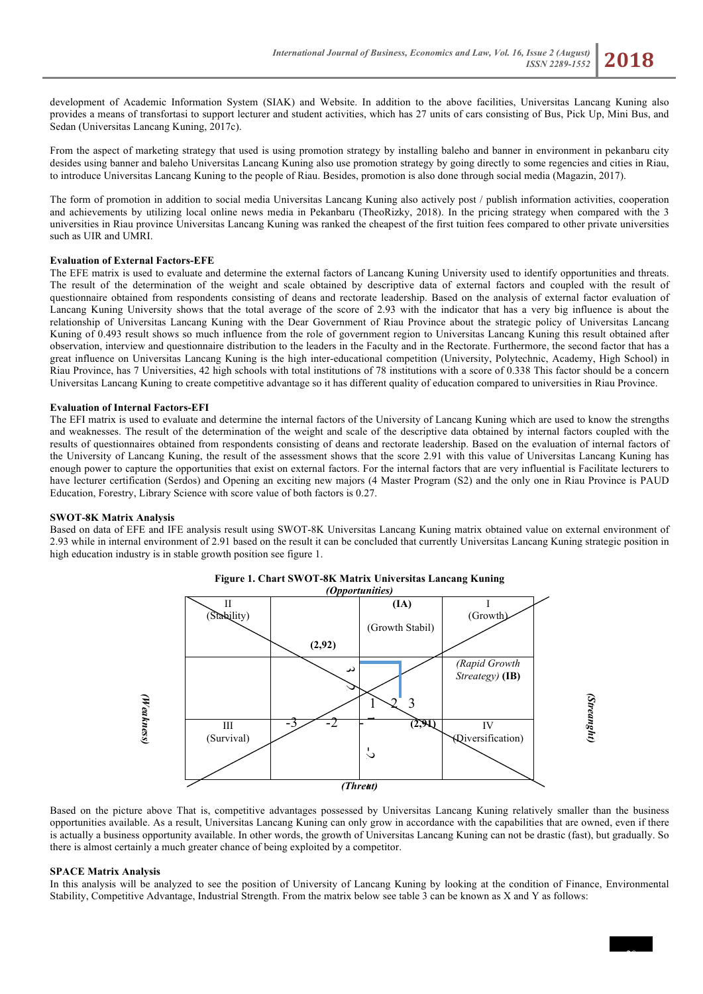development of Academic Information System (SIAK) and Website. In addition to the above facilities, Universitas Lancang Kuning also provides a means of transfortasi to support lecturer and student activities, which has 27 units of cars consisting of Bus, Pick Up, Mini Bus, and Sedan (Universitas Lancang Kuning, 2017c).

From the aspect of marketing strategy that used is using promotion strategy by installing baleho and banner in environment in pekanbaru city desides using banner and baleho Universitas Lancang Kuning also use promotion strategy by going directly to some regencies and cities in Riau, to introduce Universitas Lancang Kuning to the people of Riau. Besides, promotion is also done through social media (Magazin, 2017).

The form of promotion in addition to social media Universitas Lancang Kuning also actively post / publish information activities, cooperation and achievements by utilizing local online news media in Pekanbaru (TheoRizky, 2018). In the pricing strategy when compared with the 3 universities in Riau province Universitas Lancang Kuning was ranked the cheapest of the first tuition fees compared to other private universities such as UIR and UMRI.

#### **Evaluation of External Factors-EFE**

The EFE matrix is used to evaluate and determine the external factors of Lancang Kuning University used to identify opportunities and threats. The result of the determination of the weight and scale obtained by descriptive data of external factors and coupled with the result of questionnaire obtained from respondents consisting of deans and rectorate leadership. Based on the analysis of external factor evaluation of Lancang Kuning University shows that the total average of the score of 2.93 with the indicator that has a very big influence is about the relationship of Universitas Lancang Kuning with the Dear Government of Riau Province about the strategic policy of Universitas Lancang Kuning of 0.493 result shows so much influence from the role of government region to Universitas Lancang Kuning this result obtained after observation, interview and questionnaire distribution to the leaders in the Faculty and in the Rectorate. Furthermore, the second factor that has a great influence on Universitas Lancang Kuning is the high inter-educational competition (University, Polytechnic, Academy, High School) in Riau Province, has 7 Universities, 42 high schools with total institutions of 78 institutions with a score of 0.338 This factor should be a concern Universitas Lancang Kuning to create competitive advantage so it has different quality of education compared to universities in Riau Province.

#### **Evaluation of Internal Factors-EFI**

The EFI matrix is used to evaluate and determine the internal factors of the University of Lancang Kuning which are used to know the strengths and weaknesses. The result of the determination of the weight and scale of the descriptive data obtained by internal factors coupled with the results of questionnaires obtained from respondents consisting of deans and rectorate leadership. Based on the evaluation of internal factors of the University of Lancang Kuning, the result of the assessment shows that the score 2.91 with this value of Universitas Lancang Kuning has enough power to capture the opportunities that exist on external factors. For the internal factors that are very influential is Facilitate lecturers to have lecturer certification (Serdos) and Opening an exciting new majors (4 Master Program (S2) and the only one in Riau Province is PAUD Education, Forestry, Library Science with score value of both factors is 0.27.

#### **SWOT-8K Matrix Analysis**

Based on data of EFE and IFE analysis result using SWOT-8K Universitas Lancang Kuning matrix obtained value on external environment of 2.93 while in internal environment of 2.91 based on the result it can be concluded that currently Universitas Lancang Kuning strategic position in high education industry is in stable growth position see figure 1.



## **Figure 1. Chart SWOT-8K Matrix Universitas Lancang Kuning**

Based on the picture above That is, competitive advantages possessed by Universitas Lancang Kuning relatively smaller than the business opportunities available. As a result, Universitas Lancang Kuning can only grow in accordance with the capabilities that are owned, even if there is actually a business opportunity available. In other words, the growth of Universitas Lancang Kuning can not be drastic (fast), but gradually. So there is almost certainly a much greater chance of being exploited by a competitor.

#### **SPACE Matrix Analysis**

In this analysis will be analyzed to see the position of University of Lancang Kuning by looking at the condition of Finance, Environmental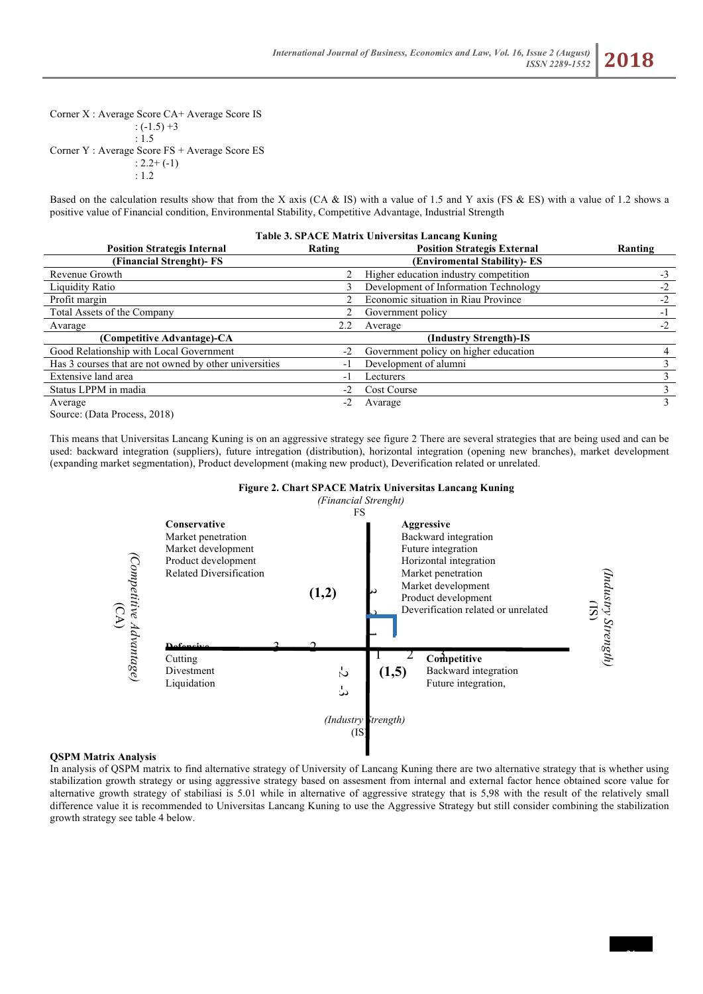Corner X : Average Score CA+ Average Score IS  $: (-1.5) +3$ : 1.5 Corner Y : Average Score FS + Average Score ES  $: 2.2 + (-1)$ : 1.2

Based on the calculation results show that from the X axis (CA & IS) with a value of 1.5 and Y axis (FS & ES) with a value of 1.2 shows a positive value of Financial condition, Environmental Stability, Competitive Advantage, Industrial Strength

| Table 3. SPACE Matrix Universitas Lancang Kuning                |        |                                       |         |  |
|-----------------------------------------------------------------|--------|---------------------------------------|---------|--|
| <b>Position Strategis Internal</b>                              | Rating | <b>Position Strategis External</b>    | Ranting |  |
| (Financial Strenght)- FS                                        |        | (Enviromental Stability)- ES          |         |  |
| Revenue Growth                                                  |        | Higher education industry competition | $-3$    |  |
| Liquidity Ratio                                                 | 3      | Development of Information Technology | $-2$    |  |
| Profit margin                                                   |        | Economic situation in Riau Province   | $-2$    |  |
| Total Assets of the Company                                     | 2.     | Government policy                     | $-1$    |  |
| Avarage                                                         | 2.2    | Average                               | $-2$    |  |
| (Competitive Advantage)-CA                                      |        | (Industry Strength)-IS                |         |  |
| Good Relationship with Local Government                         | $-2$   | Government policy on higher education |         |  |
| Has 3 courses that are not owned by other universities          | - 1    | Development of alumni                 |         |  |
| Extensive land area                                             | - 1    | Lecturers                             |         |  |
| Status LPPM in madia                                            | $-2$   | Cost Course                           |         |  |
| Average                                                         | $-2$   | Avarage                               | 3       |  |
| $C_{\text{outmax}}$ (D <sub>ata</sub> D <sub>ragang</sub> 2010) |        |                                       |         |  |

Source: (Data Process, 2018)

This means that Universitas Lancang Kuning is on an aggressive strategy see figure 2 There are several strategies that are being used and can be used: backward integration (suppliers), future intregation (distribution), horizontal integration (opening new branches), market development (expanding market segmentation), Product development (making new product), Deverification related or unrelated.



#### **Figure 2. Chart SPACE Matrix Universitas Lancang Kuning**

# **QSPM Matrix Analysis**

In analysis of QSPM matrix to find alternative strategy of University of Lancang Kuning there are two alternative strategy that is whether using stabilization growth strategy or using aggressive strategy based on assesment from internal and external factor hence obtained score value for alternative growth strategy of stabiliasi is 5.01 while in alternative of aggressive strategy that is 5,98 with the result of the relatively small difference value it is recommended to Universitas Lancang Kuning to use the Aggressive Strategy but still consider combining the stabilization growth strategy see table 4 below.

21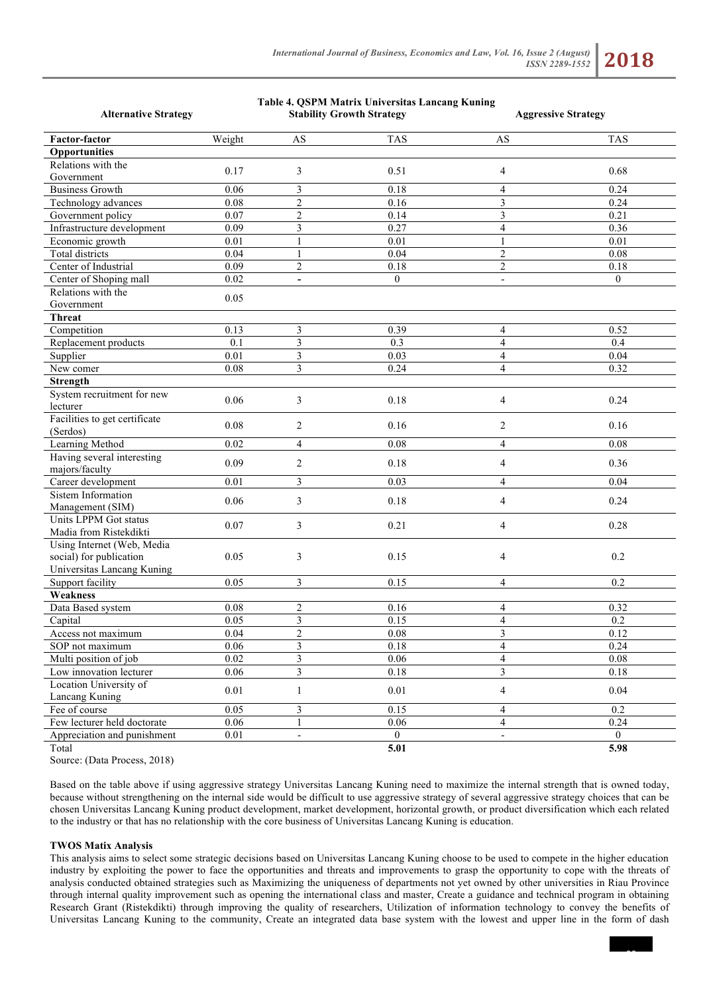**Table 4. QSPM Matrix Universitas Lancang Kuning**

# *ISSN 2289-1552* **2018**

| <b>Alternative Strategy</b>                                                         |          | <b>Stability Growth Strategy</b> |              | <b>Aggressive Strategy</b> |                |
|-------------------------------------------------------------------------------------|----------|----------------------------------|--------------|----------------------------|----------------|
| <b>Factor-factor</b>                                                                | Weight   | AS                               | <b>TAS</b>   | AS                         | <b>TAS</b>     |
| Opportunities                                                                       |          |                                  |              |                            |                |
| Relations with the<br>Government                                                    | 0.17     | 3                                | 0.51         | $\overline{4}$             | 0.68           |
| <b>Business Growth</b>                                                              | 0.06     | 3                                | 0.18         | $\overline{4}$             | 0.24           |
| Technology advances                                                                 | 0.08     | $\overline{c}$                   | 0.16         | 3                          | 0.24           |
| Government policy                                                                   | 0.07     | $\boldsymbol{2}$                 | 0.14         | $\mathfrak{Z}$             | 0.21           |
| Infrastructure development                                                          | 0.09     | $\overline{\mathbf{3}}$          | 0.27         | $\overline{4}$             | 0.36           |
| Economic growth                                                                     | 0.01     | $\,1\,$                          | 0.01         | $\mathbf{1}$               | 0.01           |
| <b>Total districts</b>                                                              | 0.04     | $\mathbf{1}$                     | 0.04         | $\sqrt{2}$                 | 0.08           |
| Center of Industrial                                                                | 0.09     | $\overline{c}$                   | 0.18         | $\sqrt{2}$                 | 0.18           |
| Center of Shoping mall                                                              | 0.02     | $\blacksquare$                   | $\theta$     | $\overline{\phantom{a}}$   | $\theta$       |
| Relations with the                                                                  |          |                                  |              |                            |                |
| Government                                                                          | 0.05     |                                  |              |                            |                |
| <b>Threat</b>                                                                       |          |                                  |              |                            |                |
| Competition                                                                         | 0.13     | 3                                | 0.39         | $\overline{4}$             | 0.52           |
| Replacement products                                                                | 0.1      | 3                                | 0.3          | $\overline{4}$             | 0.4            |
| Supplier                                                                            | 0.01     | $\mathfrak{Z}$                   | 0.03         | $\overline{4}$             | 0.04           |
| New comer                                                                           | 0.08     | 3                                | 0.24         | $\overline{4}$             | 0.32           |
| Strength                                                                            |          |                                  |              |                            |                |
| System recruitment for new<br>lecturer                                              | 0.06     | 3                                | 0.18         | 4                          | 0.24           |
| Facilities to get certificate<br>(Serdos)                                           | 0.08     | $\overline{c}$                   | 0.16         | $\overline{2}$             | 0.16           |
| Learning Method                                                                     | 0.02     | $\overline{\mathbf{4}}$          | 0.08         | $\overline{4}$             | 0.08           |
| Having several interesting<br>majors/faculty                                        | 0.09     | $\overline{c}$                   | 0.18         | 4                          | 0.36           |
| Career development                                                                  | 0.01     | 3                                | 0.03         | $\overline{4}$             | 0.04           |
| Sistem Information<br>Management (SIM)                                              | 0.06     | 3                                | 0.18         | $\overline{4}$             | 0.24           |
| Units LPPM Got status<br>Madia from Ristekdikti                                     | 0.07     | 3                                | 0.21         | $\overline{4}$             | 0.28           |
| Using Internet (Web, Media<br>social) for publication<br>Universitas Lancang Kuning | 0.05     | 3                                | 0.15         | 4                          | 0.2            |
| Support facility                                                                    | 0.05     | 3                                | 0.15         | $\overline{4}$             | 0.2            |
| Weakness                                                                            |          |                                  |              |                            |                |
| Data Based system                                                                   | 0.08     | $\overline{c}$                   | 0.16         | $\overline{4}$             | 0.32           |
| Capital                                                                             | 0.05     | 3                                | 0.15         | $\overline{4}$             | 0.2            |
| Access not maximum                                                                  | 0.04     | $\overline{c}$                   | 0.08         | 3                          | 0.12           |
| SOP not maximum                                                                     | 0.06     | $\sqrt{3}$                       | $0.18\,$     | $\overline{4}$             | 0.24           |
| Multi position of job                                                               | 0.02     | $\overline{\mathbf{3}}$          | 0.06         | $\overline{4}$             | 0.08           |
| Low innovation lecturer                                                             | 0.06     | $\overline{\mathbf{3}}$          | 0.18         | $\overline{3}$             | 0.18           |
| Location University of<br>Lancang Kuning                                            | $0.01\,$ | $\mathbf{1}$                     | 0.01         | $\overline{4}$             | 0.04           |
| Fee of course                                                                       | 0.05     | $\overline{\mathbf{3}}$          | 0.15         | $\overline{4}$             | 0.2            |
| Few lecturer held doctorate                                                         | 0.06     | $\mathbf{1}$                     | 0.06         | $\overline{4}$             | 0.24           |
| Appreciation and punishment                                                         | $0.01\,$ | $\overline{\phantom{a}}$         | $\mathbf{0}$ | L.                         | $\overline{0}$ |
| Total                                                                               |          |                                  | 5.01         |                            | 5.98           |

Source: (Data Process, 2018)

Based on the table above if using aggressive strategy Universitas Lancang Kuning need to maximize the internal strength that is owned today, because without strengthening on the internal side would be difficult to use aggressive strategy of several aggressive strategy choices that can be chosen Universitas Lancang Kuning product development, market development, horizontal growth, or product diversification which each related to the industry or that has no relationship with the core business of Universitas Lancang Kuning is education.

#### **TWOS Matix Analysis**

This analysis aims to select some strategic decisions based on Universitas Lancang Kuning choose to be used to compete in the higher education industry by exploiting the power to face the opportunities and threats and improvements to grasp the opportunity to cope with the threats of analysis conducted obtained strategies such as Maximizing the uniqueness of departments not yet owned by other universities in Riau Province through internal quality improvement such as opening the international class and master, Create a guidance and technical program in obtaining Research Grant (Ristekdikti) through improving the quality of researchers, Utilization of information technology to convey the benefits of Universitas Lancang Kuning to the community, Create an integrated data base system with the lowest and upper line in the form of dash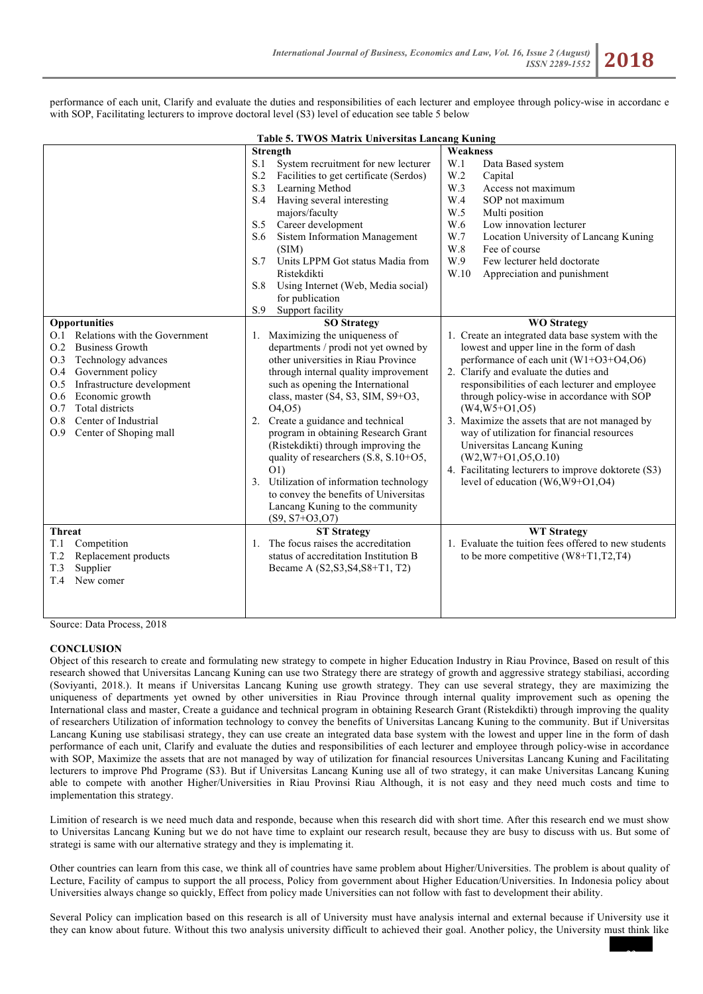performance of each unit, Clarify and evaluate the duties and responsibilities of each lecturer and employee through policy-wise in accordanc e with SOP, Facilitating lecturers to improve doctoral level (S3) level of education see table 5 below

| Table 5. TWOS Matrix Universitas Lancang Kuning                                                                                                                                                                                                                                                        |                                                                                                                                                                                                                                                                                                                                                                                                                                                                                                                                                                                                                                                                                                                                                                                                                                                                                                                                     |                                                                                                                                                                                                                                                                                                                                                                                                                                                                                                                                                                                                                                                                                                                                                                                                                                                                                                                              |  |  |  |  |
|--------------------------------------------------------------------------------------------------------------------------------------------------------------------------------------------------------------------------------------------------------------------------------------------------------|-------------------------------------------------------------------------------------------------------------------------------------------------------------------------------------------------------------------------------------------------------------------------------------------------------------------------------------------------------------------------------------------------------------------------------------------------------------------------------------------------------------------------------------------------------------------------------------------------------------------------------------------------------------------------------------------------------------------------------------------------------------------------------------------------------------------------------------------------------------------------------------------------------------------------------------|------------------------------------------------------------------------------------------------------------------------------------------------------------------------------------------------------------------------------------------------------------------------------------------------------------------------------------------------------------------------------------------------------------------------------------------------------------------------------------------------------------------------------------------------------------------------------------------------------------------------------------------------------------------------------------------------------------------------------------------------------------------------------------------------------------------------------------------------------------------------------------------------------------------------------|--|--|--|--|
| Opportunities<br>O.1 Relations with the Government<br><b>Business Growth</b><br>O.2<br>O.3<br>Technology advances<br>O.4<br>Government policy<br>Infrastructure development<br>O.5<br>Economic growth<br>O.6<br>Total districts<br>O.7<br>Center of Industrial<br>O.8<br>Center of Shoping mall<br>0.9 | <b>Strength</b><br>S.1<br>System recruitment for new lecturer<br>S.2<br>Facilities to get certificate (Serdos)<br>S.3<br>Learning Method<br>Having several interesting<br>S.4<br>majors/faculty<br>Career development<br>S.5<br>Sistem Information Management<br>S.6<br>(SIM)<br>S.7<br>Units LPPM Got status Madia from<br>Ristekdikti<br>Using Internet (Web, Media social)<br>S.8<br>for publication<br>Support facility<br>S.9<br><b>SO Strategy</b><br>Maximizing the uniqueness of<br>1.<br>departments / prodi not yet owned by<br>other universities in Riau Province<br>through internal quality improvement<br>such as opening the International<br>class, master $(S4, S3, SIM, S9+O3,$<br>04,05)<br>Create a guidance and technical<br>2.<br>program in obtaining Research Grant<br>(Ristekdikti) through improving the<br>quality of researchers (S.8, S.10+O5,<br>O(1)<br>Utilization of information technology<br>3. | <b>Weakness</b><br>W.1<br>Data Based system<br>W.2<br>Capital<br>W.3<br>Access not maximum<br>W.4<br>SOP not maximum<br>W.5<br>Multi position<br>W.6<br>Low innovation lecturer<br>W.7<br>Location University of Lancang Kuning<br>W.8<br>Fee of course<br>W.9<br>Few lecturer held doctorate<br>W.10<br>Appreciation and punishment<br><b>WO Strategy</b><br>1. Create an integrated data base system with the<br>lowest and upper line in the form of dash<br>performance of each unit $(W1+O3+O4, O6)$<br>2. Clarify and evaluate the duties and<br>responsibilities of each lecturer and employee<br>through policy-wise in accordance with SOP<br>$(W4, W5+O1, O5)$<br>3. Maximize the assets that are not managed by<br>way of utilization for financial resources<br>Universitas Lancang Kuning<br>$(W2, W7+O1, O5, O.10)$<br>4. Facilitating lecturers to improve doktorete (S3)<br>level of education (W6,W9+O1,O4) |  |  |  |  |
|                                                                                                                                                                                                                                                                                                        | to convey the benefits of Universitas<br>Lancang Kuning to the community<br>$(S9, S7+O3, O7)$                                                                                                                                                                                                                                                                                                                                                                                                                                                                                                                                                                                                                                                                                                                                                                                                                                       |                                                                                                                                                                                                                                                                                                                                                                                                                                                                                                                                                                                                                                                                                                                                                                                                                                                                                                                              |  |  |  |  |
| <b>Threat</b><br>Competition<br>T.1<br>T.2<br>Replacement products<br>T.3<br>Supplier<br>New comer<br>T.4                                                                                                                                                                                              | <b>ST Strategy</b><br>The focus raises the accreditation<br>1.<br>status of accreditation Institution B<br>Became A (S2, S3, S4, S8+T1, T2)                                                                                                                                                                                                                                                                                                                                                                                                                                                                                                                                                                                                                                                                                                                                                                                         | <b>WT Strategy</b><br>1. Evaluate the tuition fees offered to new students<br>to be more competitive $(W8+T1, T2, T4)$                                                                                                                                                                                                                                                                                                                                                                                                                                                                                                                                                                                                                                                                                                                                                                                                       |  |  |  |  |

Source: Data Process, 2018

#### **CONCLUSION**

Object of this research to create and formulating new strategy to compete in higher Education Industry in Riau Province, Based on result of this research showed that Universitas Lancang Kuning can use two Strategy there are strategy of growth and aggressive strategy stabiliasi, according (Soviyanti, 2018.). It means if Universitas Lancang Kuning use growth strategy. They can use several strategy, they are maximizing the uniqueness of departments yet owned by other universities in Riau Province through internal quality improvement such as opening the International class and master, Create a guidance and technical program in obtaining Research Grant (Ristekdikti) through improving the quality of researchers Utilization of information technology to convey the benefits of Universitas Lancang Kuning to the community. But if Universitas Lancang Kuning use stabilisasi strategy, they can use create an integrated data base system with the lowest and upper line in the form of dash performance of each unit, Clarify and evaluate the duties and responsibilities of each lecturer and employee through policy-wise in accordance with SOP, Maximize the assets that are not managed by way of utilization for financial resources Universitas Lancang Kuning and Facilitating lecturers to improve Phd Programe (S3). But if Universitas Lancang Kuning use all of two strategy, it can make Universitas Lancang Kuning able to compete with another Higher/Universities in Riau Provinsi Riau Although, it is not easy and they need much costs and time to implementation this strategy.

Limition of research is we need much data and responde, because when this research did with short time. After this research end we must show to Universitas Lancang Kuning but we do not have time to explaint our research result, because they are busy to discuss with us. But some of strategi is same with our alternative strategy and they is implemating it.

Other countries can learn from this case, we think all of countries have same problem about Higher/Universities. The problem is about quality of Lecture, Facility of campus to support the all process, Policy from government about Higher Education/Universities. In Indonesia policy about Universities always change so quickly, Effect from policy made Universities can not follow with fast to development their ability.

Several Policy can implication based on this research is all of University must have analysis internal and external because if University use it they can know about future. Without this two analysis university difficult to achieved their goal. Another policy, the University must think like

23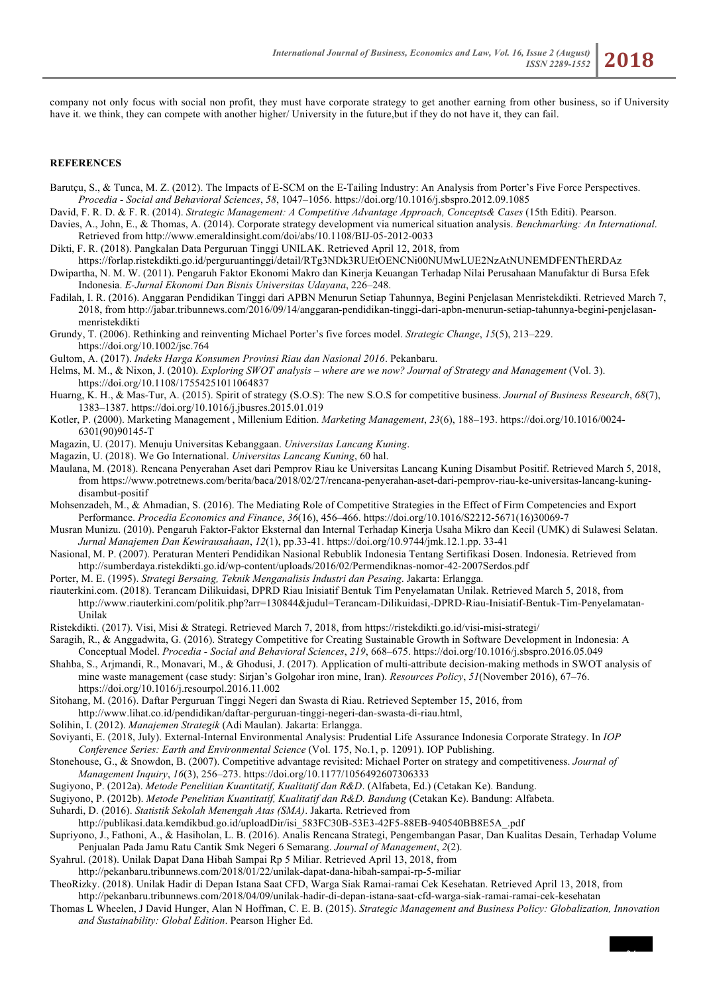company not only focus with social non profit, they must have corporate strategy to get another earning from other business, so if University have it. we think, they can compete with another higher/ University in the future,but if they do not have it, they can fail.

#### **REFERENCES**

- Barutçu, S., & Tunca, M. Z. (2012). The Impacts of E-SCM on the E-Tailing Industry: An Analysis from Porter's Five Force Perspectives. *Procedia - Social and Behavioral Sciences*, *58*, 1047–1056. https://doi.org/10.1016/j.sbspro.2012.09.1085
- David, F. R. D. & F. R. (2014). *Strategic Management: A Competitive Advantage Approach, Concepts& Cases* (15th Editi). Pearson.
- Davies, A., John, E., & Thomas, A. (2014). Corporate strategy development via numerical situation analysis. *Benchmarking: An International*. Retrieved from http://www.emeraldinsight.com/doi/abs/10.1108/BIJ-05-2012-0033
- Dikti, F. R. (2018). Pangkalan Data Perguruan Tinggi UNILAK. Retrieved April 12, 2018, from
- https://forlap.ristekdikti.go.id/perguruantinggi/detail/RTg3NDk3RUEtOENCNi00NUMwLUE2NzAtNUNEMDFENThERDAz Dwipartha, N. M. W. (2011). Pengaruh Faktor Ekonomi Makro dan Kinerja Keuangan Terhadap Nilai Perusahaan Manufaktur di Bursa Efek

Indonesia. *E-Jurnal Ekonomi Dan Bisnis Universitas Udayana*, 226–248.

- Fadilah, I. R. (2016). Anggaran Pendidikan Tinggi dari APBN Menurun Setiap Tahunnya, Begini Penjelasan Menristekdikti. Retrieved March 7, 2018, from http://jabar.tribunnews.com/2016/09/14/anggaran-pendidikan-tinggi-dari-apbn-menurun-setiap-tahunnya-begini-penjelasanmenristekdikti
- Grundy, T. (2006). Rethinking and reinventing Michael Porter's five forces model. *Strategic Change*, *15*(5), 213–229. https://doi.org/10.1002/jsc.764
- Gultom, A. (2017). *Indeks Harga Konsumen Provinsi Riau dan Nasional 2016*. Pekanbaru.
- Helms, M. M., & Nixon, J. (2010). *Exploring SWOT analysis – where are we now? Journal of Strategy and Management* (Vol. 3). https://doi.org/10.1108/17554251011064837
- Huarng, K. H., & Mas-Tur, A. (2015). Spirit of strategy (S.O.S): The new S.O.S for competitive business. *Journal of Business Research*, *68*(7), 1383–1387. https://doi.org/10.1016/j.jbusres.2015.01.019
- Kotler, P. (2000). Marketing Management , Millenium Edition. *Marketing Management*, *23*(6), 188–193. https://doi.org/10.1016/0024- 6301(90)90145-T
- Magazin, U. (2017). Menuju Universitas Kebanggaan. *Universitas Lancang Kuning*.
- Magazin, U. (2018). We Go International. *Universitas Lancang Kuning*, 60 hal.
- Maulana, M. (2018). Rencana Penyerahan Aset dari Pemprov Riau ke Universitas Lancang Kuning Disambut Positif. Retrieved March 5, 2018, from https://www.potretnews.com/berita/baca/2018/02/27/rencana-penyerahan-aset-dari-pemprov-riau-ke-universitas-lancang-kuningdisambut-positif
- Mohsenzadeh, M., & Ahmadian, S. (2016). The Mediating Role of Competitive Strategies in the Effect of Firm Competencies and Export Performance. *Procedia Economics and Finance*, *36*(16), 456–466. https://doi.org/10.1016/S2212-5671(16)30069-7
- Musran Munizu. (2010). Pengaruh Faktor-Faktor Eksternal dan Internal Terhadap Kinerja Usaha Mikro dan Kecil (UMK) di Sulawesi Selatan. *Jurnal Manajemen Dan Kewirausahaan*, *12*(1), pp.33-41. https://doi.org/10.9744/jmk.12.1.pp. 33-41
- Nasional, M. P. (2007). Peraturan Menteri Pendidikan Nasional Rebublik Indonesia Tentang Sertifikasi Dosen. Indonesia. Retrieved from http://sumberdaya.ristekdikti.go.id/wp-content/uploads/2016/02/Permendiknas-nomor-42-2007Serdos.pdf
- Porter, M. E. (1995). *Strategi Bersaing, Teknik Menganalisis Industri dan Pesaing*. Jakarta: Erlangga.
- riauterkini.com. (2018). Terancam Dilikuidasi, DPRD Riau Inisiatif Bentuk Tim Penyelamatan Unilak. Retrieved March 5, 2018, from http://www.riauterkini.com/politik.php?arr=130844&judul=Terancam-Dilikuidasi,-DPRD-Riau-Inisiatif-Bentuk-Tim-Penyelamatan-Unilak
- Ristekdikti. (2017). Visi, Misi & Strategi. Retrieved March 7, 2018, from https://ristekdikti.go.id/visi-misi-strategi/
- Saragih, R., & Anggadwita, G. (2016). Strategy Competitive for Creating Sustainable Growth in Software Development in Indonesia: A Conceptual Model. *Procedia - Social and Behavioral Sciences*, *219*, 668–675. https://doi.org/10.1016/j.sbspro.2016.05.049
- Shahba, S., Arjmandi, R., Monavari, M., & Ghodusi, J. (2017). Application of multi-attribute decision-making methods in SWOT analysis of mine waste management (case study: Sirjan's Golgohar iron mine, Iran). *Resources Policy*, *51*(November 2016), 67–76. https://doi.org/10.1016/j.resourpol.2016.11.002
- Sitohang, M. (2016). Daftar Perguruan Tinggi Negeri dan Swasta di Riau. Retrieved September 15, 2016, from
- http://www.lihat.co.id/pendidikan/daftar-perguruan-tinggi-negeri-dan-swasta-di-riau.html,
- Solihin, I. (2012). *Manajemen Strategik* (Adi Maulan). Jakarta: Erlangga.
- Soviyanti, E. (2018, July). External-Internal Environmental Analysis: Prudential Life Assurance Indonesia Corporate Strategy. In *IOP Conference Series: Earth and Environmental Science* (Vol. 175, No.1, p. 12091). IOP Publishing.
- Stonehouse, G., & Snowdon, B. (2007). Competitive advantage revisited: Michael Porter on strategy and competitiveness. *Journal of Management Inquiry*, *16*(3), 256–273. https://doi.org/10.1177/1056492607306333
- Sugiyono, P. (2012a). *Metode Penelitian Kuantitatif, Kualitatif dan R&D*. (Alfabeta, Ed.) (Cetakan Ke). Bandung.
- Sugiyono, P. (2012b). *Metode Penelitian Kuantitatif, Kualitatif dan R&D. Bandung* (Cetakan Ke). Bandung: Alfabeta.
- Suhardi, D. (2016). *Statistik Sekolah Menengah Atas (SMA)*. Jakarta. Retrieved from

http://publikasi.data.kemdikbud.go.id/uploadDir/isi\_583FC30B-53E3-42F5-88EB-940540BB8E5A\_.pdf

- Supriyono, J., Fathoni, A., & Hasiholan, L. B. (2016). Analis Rencana Strategi, Pengembangan Pasar, Dan Kualitas Desain, Terhadap Volume Penjualan Pada Jamu Ratu Cantik Smk Negeri 6 Semarang. *Journal of Management*, *2*(2).
- Syahrul. (2018). Unilak Dapat Dana Hibah Sampai Rp 5 Miliar. Retrieved April 13, 2018, from
- http://pekanbaru.tribunnews.com/2018/01/22/unilak-dapat-dana-hibah-sampai-rp-5-miliar
- TheoRizky. (2018). Unilak Hadir di Depan Istana Saat CFD, Warga Siak Ramai-ramai Cek Kesehatan. Retrieved April 13, 2018, from

http://pekanbaru.tribunnews.com/2018/04/09/unilak-hadir-di-depan-istana-saat-cfd-warga-siak-ramai-ramai-cek-kesehatan

Thomas L Wheelen, J David Hunger, Alan N Hoffman, C. E. B. (2015). *Strategic Management and Business Policy: Globalization, Innovation and Sustainability: Global Edition*. Pearson Higher Ed.

24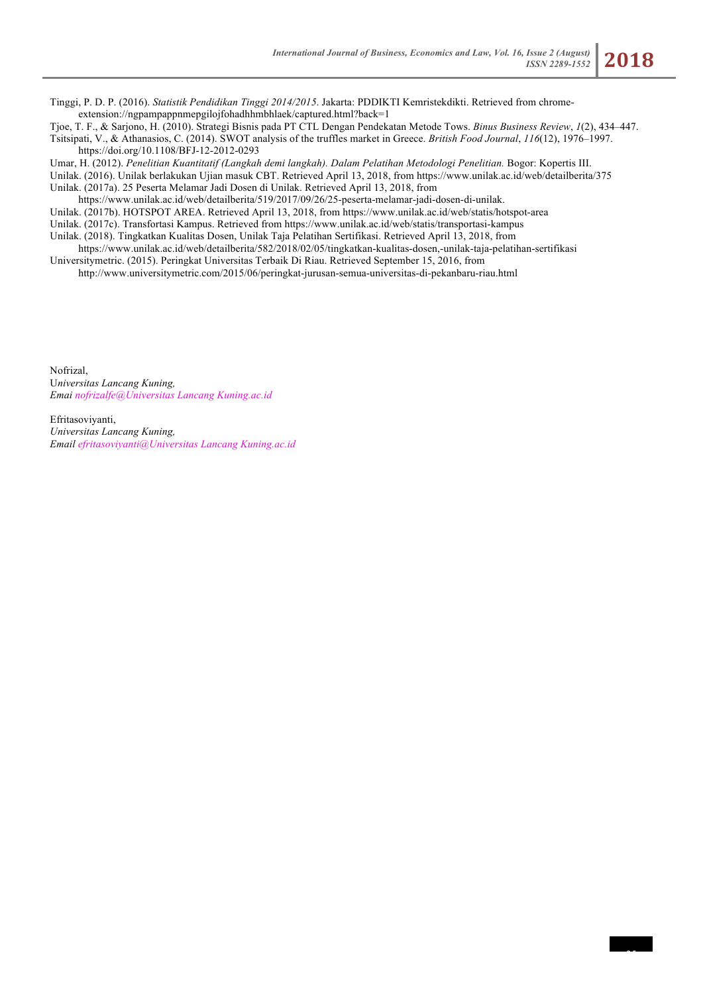25

Tinggi, P. D. P. (2016). *Statistik Pendidikan Tinggi 2014/2015*. Jakarta: PDDIKTI Kemristekdikti. Retrieved from chromeextension://ngpampappnmepgilojfohadhhmbhlaek/captured.html?back=1

Tjoe, T. F., & Sarjono, H. (2010). Strategi Bisnis pada PT CTL Dengan Pendekatan Metode Tows. *Binus Business Review*, *1*(2), 434–447. Tsitsipati, V., & Athanasios, C. (2014). SWOT analysis of the truffles market in Greece. *British Food Journal*, *116*(12), 1976–1997. https://doi.org/10.1108/BFJ-12-2012-0293

Umar, H. (2012). *Penelitian Kuantitatif (Langkah demi langkah). Dalam Pelatihan Metodologi Penelitian.* Bogor: Kopertis III.

Unilak. (2016). Unilak berlakukan Ujian masuk CBT. Retrieved April 13, 2018, from https://www.unilak.ac.id/web/detailberita/375 Unilak. (2017a). 25 Peserta Melamar Jadi Dosen di Unilak. Retrieved April 13, 2018, from

https://www.unilak.ac.id/web/detailberita/519/2017/09/26/25-peserta-melamar-jadi-dosen-di-unilak.

Unilak. (2017b). HOTSPOT AREA. Retrieved April 13, 2018, from https://www.unilak.ac.id/web/statis/hotspot-area

Unilak. (2017c). Transfortasi Kampus. Retrieved from https://www.unilak.ac.id/web/statis/transportasi-kampus

Unilak. (2018). Tingkatkan Kualitas Dosen, Unilak Taja Pelatihan Sertifikasi. Retrieved April 13, 2018, from

https://www.unilak.ac.id/web/detailberita/582/2018/02/05/tingkatkan-kualitas-dosen,-unilak-taja-pelatihan-sertifikasi Universitymetric. (2015). Peringkat Universitas Terbaik Di Riau. Retrieved September 15, 2016, from

http://www.universitymetric.com/2015/06/peringkat-jurusan-semua-universitas-di-pekanbaru-riau.html

Nofrizal, U*niversitas Lancang Kuning, Emai nofrizalfe@Universitas Lancang Kuning.ac.id*

Efritasoviyanti, *Universitas Lancang Kuning, Email efritasoviyanti@Universitas Lancang Kuning.ac.id*